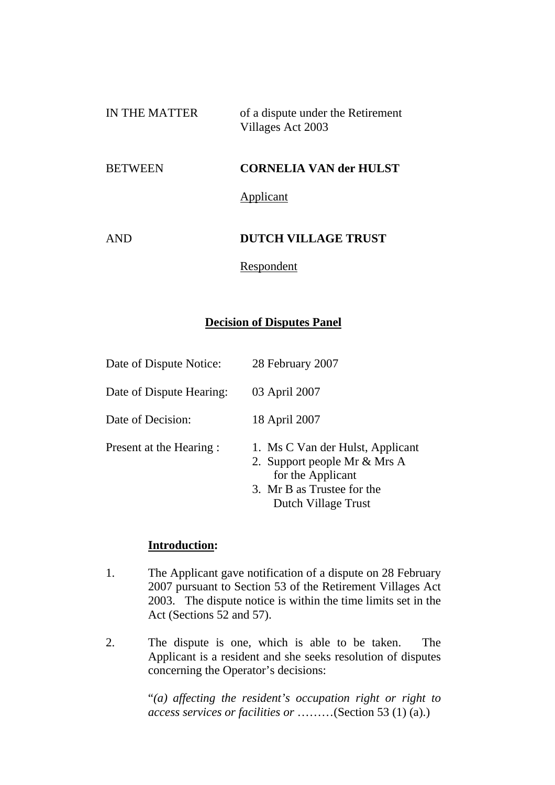| IN THE MATTER | of a dispute under the Retirement |
|---------------|-----------------------------------|
|               | Villages Act 2003                 |
|               |                                   |

#### BETWEEN **CORNELIA VAN der HULST**

Applicant

# AND **DUTCH VILLAGE TRUST**

Respondent

### **Decision of Disputes Panel**

| Date of Dispute Notice:  | 28 February 2007                                                                                                                           |
|--------------------------|--------------------------------------------------------------------------------------------------------------------------------------------|
| Date of Dispute Hearing: | 03 April 2007                                                                                                                              |
| Date of Decision:        | 18 April 2007                                                                                                                              |
| Present at the Hearing : | 1. Ms C Van der Hulst, Applicant<br>2. Support people Mr & Mrs A<br>for the Applicant<br>3. Mr B as Trustee for the<br>Dutch Village Trust |

#### **Introduction:**

- 1. The Applicant gave notification of a dispute on 28 February 2007 pursuant to Section 53 of the Retirement Villages Act 2003. The dispute notice is within the time limits set in the Act (Sections 52 and 57).
- 2. The dispute is one, which is able to be taken. The Applicant is a resident and she seeks resolution of disputes concerning the Operator's decisions:

"*(a) affecting the resident's occupation right or right to access services or facilities or* ………(Section 53 (1) (a).)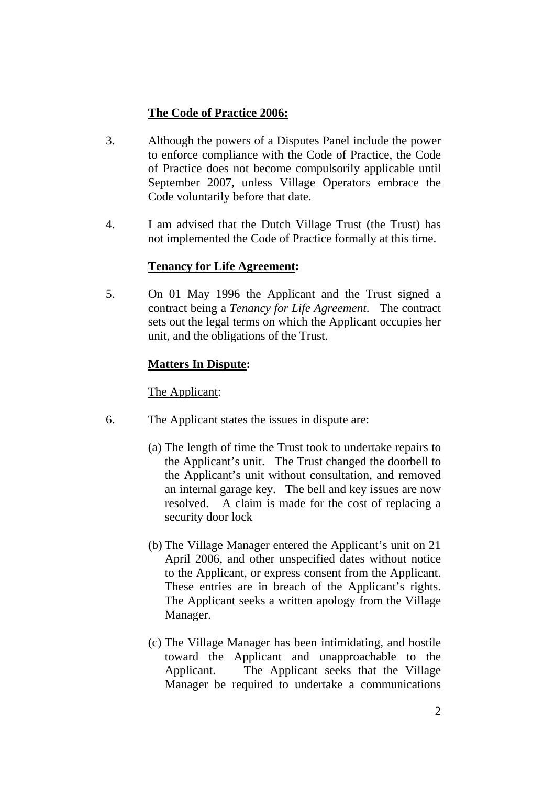# **The Code of Practice 2006:**

- 3. Although the powers of a Disputes Panel include the power to enforce compliance with the Code of Practice, the Code of Practice does not become compulsorily applicable until September 2007, unless Village Operators embrace the Code voluntarily before that date.
- 4. I am advised that the Dutch Village Trust (the Trust) has not implemented the Code of Practice formally at this time.

# **Tenancy for Life Agreement:**

5. On 01 May 1996 the Applicant and the Trust signed a contract being a *Tenancy for Life Agreement*. The contract sets out the legal terms on which the Applicant occupies her unit, and the obligations of the Trust.

# **Matters In Dispute:**

## The Applicant:

- 6. The Applicant states the issues in dispute are:
	- (a) The length of time the Trust took to undertake repairs to the Applicant's unit. The Trust changed the doorbell to the Applicant's unit without consultation, and removed an internal garage key. The bell and key issues are now resolved. A claim is made for the cost of replacing a security door lock
	- (b) The Village Manager entered the Applicant's unit on 21 April 2006, and other unspecified dates without notice to the Applicant, or express consent from the Applicant. These entries are in breach of the Applicant's rights. The Applicant seeks a written apology from the Village Manager.
	- (c) The Village Manager has been intimidating, and hostile toward the Applicant and unapproachable to the Applicant. The Applicant seeks that the Village Manager be required to undertake a communications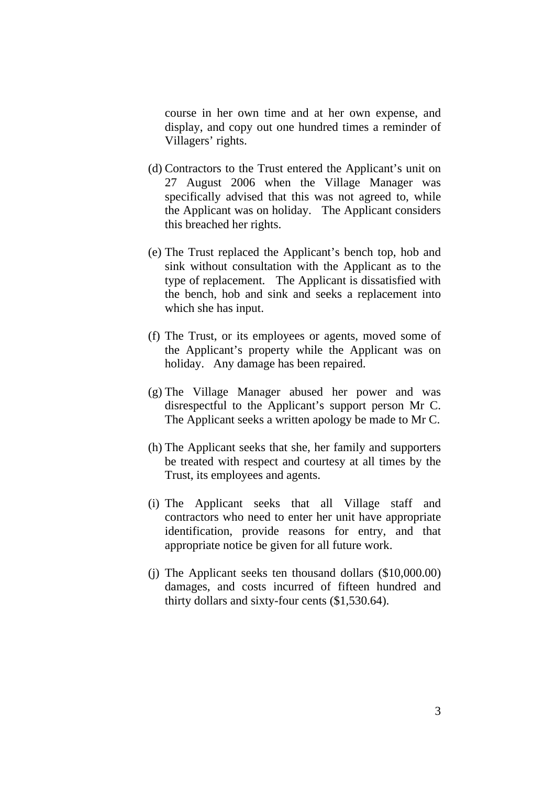course in her own time and at her own expense, and display, and copy out one hundred times a reminder of Villagers' rights.

- (d) Contractors to the Trust entered the Applicant's unit on 27 August 2006 when the Village Manager was specifically advised that this was not agreed to, while the Applicant was on holiday. The Applicant considers this breached her rights.
- (e) The Trust replaced the Applicant's bench top, hob and sink without consultation with the Applicant as to the type of replacement. The Applicant is dissatisfied with the bench, hob and sink and seeks a replacement into which she has input.
- (f) The Trust, or its employees or agents, moved some of the Applicant's property while the Applicant was on holiday. Any damage has been repaired.
- (g) The Village Manager abused her power and was disrespectful to the Applicant's support person Mr C. The Applicant seeks a written apology be made to Mr C.
- (h) The Applicant seeks that she, her family and supporters be treated with respect and courtesy at all times by the Trust, its employees and agents.
- (i) The Applicant seeks that all Village staff and contractors who need to enter her unit have appropriate identification, provide reasons for entry, and that appropriate notice be given for all future work.
- (j) The Applicant seeks ten thousand dollars (\$10,000.00) damages, and costs incurred of fifteen hundred and thirty dollars and sixty-four cents (\$1,530.64).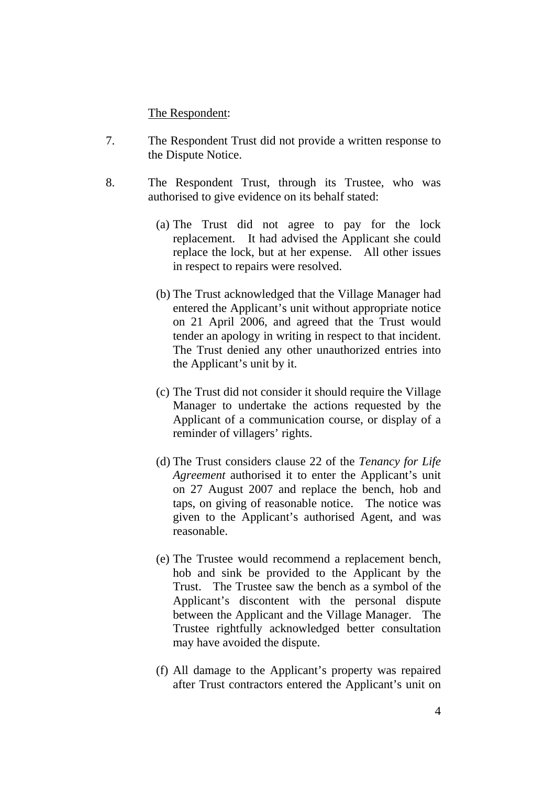The Respondent:

- 7. The Respondent Trust did not provide a written response to the Dispute Notice.
- 8. The Respondent Trust, through its Trustee, who was authorised to give evidence on its behalf stated:
	- (a) The Trust did not agree to pay for the lock replacement. It had advised the Applicant she could replace the lock, but at her expense. All other issues in respect to repairs were resolved.
	- (b) The Trust acknowledged that the Village Manager had entered the Applicant's unit without appropriate notice on 21 April 2006, and agreed that the Trust would tender an apology in writing in respect to that incident. The Trust denied any other unauthorized entries into the Applicant's unit by it.
	- (c) The Trust did not consider it should require the Village Manager to undertake the actions requested by the Applicant of a communication course, or display of a reminder of villagers' rights.
	- (d) The Trust considers clause 22 of the *Tenancy for Life Agreement* authorised it to enter the Applicant's unit on 27 August 2007 and replace the bench, hob and taps, on giving of reasonable notice. The notice was given to the Applicant's authorised Agent, and was reasonable.
	- (e) The Trustee would recommend a replacement bench, hob and sink be provided to the Applicant by the Trust. The Trustee saw the bench as a symbol of the Applicant's discontent with the personal dispute between the Applicant and the Village Manager. The Trustee rightfully acknowledged better consultation may have avoided the dispute.
	- (f) All damage to the Applicant's property was repaired after Trust contractors entered the Applicant's unit on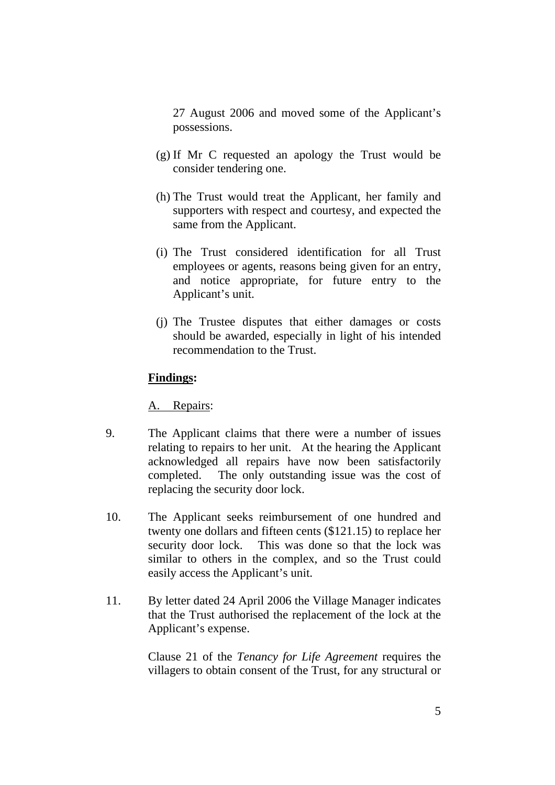27 August 2006 and moved some of the Applicant's possessions.

- (g) If Mr C requested an apology the Trust would be consider tendering one.
- (h) The Trust would treat the Applicant, her family and supporters with respect and courtesy, and expected the same from the Applicant.
- (i) The Trust considered identification for all Trust employees or agents, reasons being given for an entry, and notice appropriate, for future entry to the Applicant's unit.
- (j) The Trustee disputes that either damages or costs should be awarded, especially in light of his intended recommendation to the Trust.

#### **Findings:**

A. Repairs:

- 9. The Applicant claims that there were a number of issues relating to repairs to her unit. At the hearing the Applicant acknowledged all repairs have now been satisfactorily completed. The only outstanding issue was the cost of replacing the security door lock.
- 10. The Applicant seeks reimbursement of one hundred and twenty one dollars and fifteen cents (\$121.15) to replace her security door lock. This was done so that the lock was similar to others in the complex, and so the Trust could easily access the Applicant's unit.
- 11. By letter dated 24 April 2006 the Village Manager indicates that the Trust authorised the replacement of the lock at the Applicant's expense.

Clause 21 of the *Tenancy for Life Agreement* requires the villagers to obtain consent of the Trust, for any structural or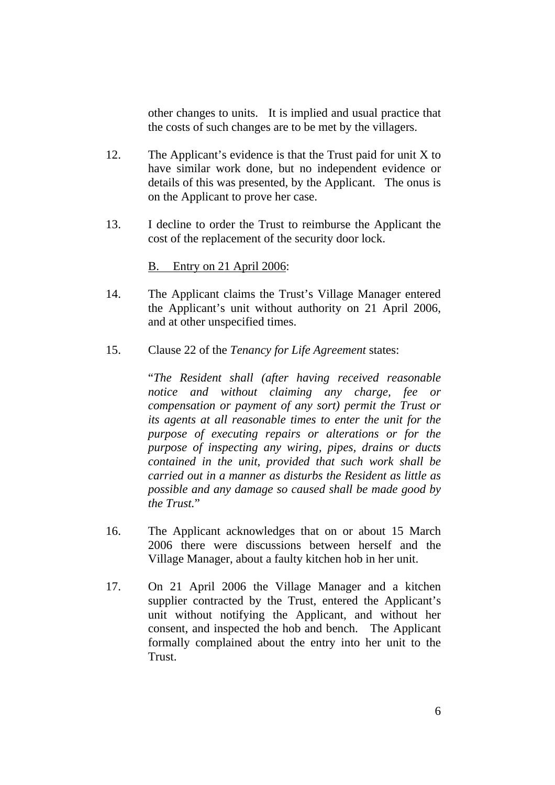other changes to units. It is implied and usual practice that the costs of such changes are to be met by the villagers.

- 12. The Applicant's evidence is that the Trust paid for unit X to have similar work done, but no independent evidence or details of this was presented, by the Applicant. The onus is on the Applicant to prove her case.
- 13. I decline to order the Trust to reimburse the Applicant the cost of the replacement of the security door lock.

#### B. Entry on 21 April 2006:

- 14. The Applicant claims the Trust's Village Manager entered the Applicant's unit without authority on 21 April 2006, and at other unspecified times.
- 15. Clause 22 of the *Tenancy for Life Agreement* states:

"*The Resident shall (after having received reasonable notice and without claiming any charge, fee or compensation or payment of any sort) permit the Trust or its agents at all reasonable times to enter the unit for the purpose of executing repairs or alterations or for the purpose of inspecting any wiring, pipes, drains or ducts contained in the unit, provided that such work shall be carried out in a manner as disturbs the Resident as little as possible and any damage so caused shall be made good by the Trust.*"

- 16. The Applicant acknowledges that on or about 15 March 2006 there were discussions between herself and the Village Manager, about a faulty kitchen hob in her unit.
- 17. On 21 April 2006 the Village Manager and a kitchen supplier contracted by the Trust, entered the Applicant's unit without notifying the Applicant, and without her consent, and inspected the hob and bench. The Applicant formally complained about the entry into her unit to the Trust.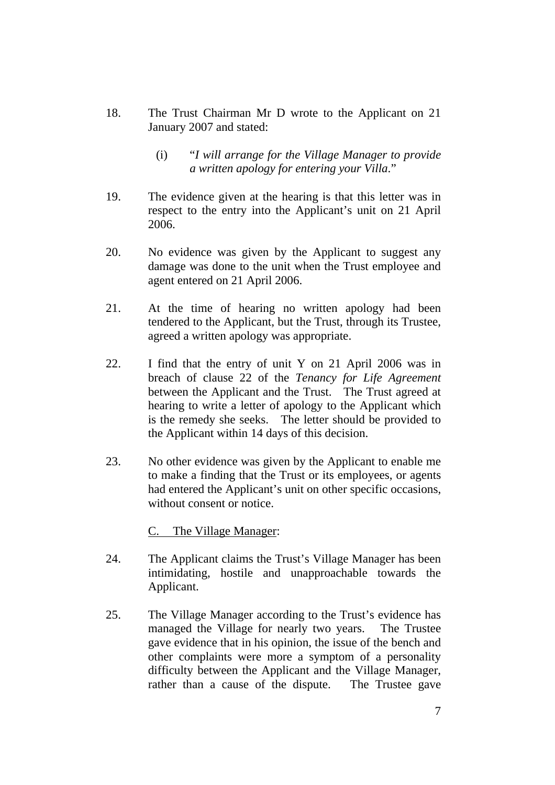- 18. The Trust Chairman Mr D wrote to the Applicant on 21 January 2007 and stated:
	- (i) "*I will arrange for the Village Manager to provide a written apology for entering your Villa*."
- 19. The evidence given at the hearing is that this letter was in respect to the entry into the Applicant's unit on 21 April 2006.
- 20. No evidence was given by the Applicant to suggest any damage was done to the unit when the Trust employee and agent entered on 21 April 2006.
- 21. At the time of hearing no written apology had been tendered to the Applicant, but the Trust, through its Trustee, agreed a written apology was appropriate.
- 22. I find that the entry of unit Y on 21 April 2006 was in breach of clause 22 of the *Tenancy for Life Agreement* between the Applicant and the Trust. The Trust agreed at hearing to write a letter of apology to the Applicant which is the remedy she seeks. The letter should be provided to the Applicant within 14 days of this decision.
- 23. No other evidence was given by the Applicant to enable me to make a finding that the Trust or its employees, or agents had entered the Applicant's unit on other specific occasions, without consent or notice.

C. The Village Manager:

- 24. The Applicant claims the Trust's Village Manager has been intimidating, hostile and unapproachable towards the Applicant.
- 25. The Village Manager according to the Trust's evidence has managed the Village for nearly two years. The Trustee gave evidence that in his opinion, the issue of the bench and other complaints were more a symptom of a personality difficulty between the Applicant and the Village Manager, rather than a cause of the dispute. The Trustee gave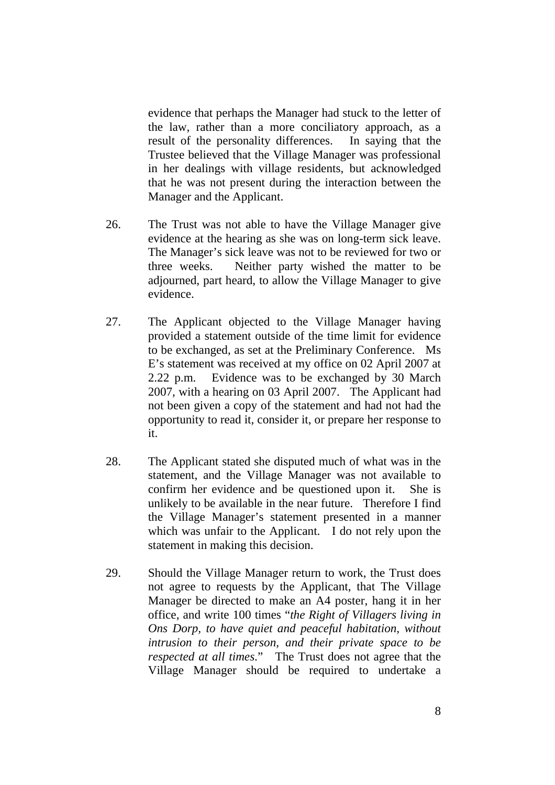evidence that perhaps the Manager had stuck to the letter of the law, rather than a more conciliatory approach, as a result of the personality differences. In saying that the Trustee believed that the Village Manager was professional in her dealings with village residents, but acknowledged that he was not present during the interaction between the Manager and the Applicant.

- 26. The Trust was not able to have the Village Manager give evidence at the hearing as she was on long-term sick leave. The Manager's sick leave was not to be reviewed for two or three weeks. Neither party wished the matter to be adjourned, part heard, to allow the Village Manager to give evidence.
- 27. The Applicant objected to the Village Manager having provided a statement outside of the time limit for evidence to be exchanged, as set at the Preliminary Conference. Ms E's statement was received at my office on 02 April 2007 at 2.22 p.m. Evidence was to be exchanged by 30 March 2007, with a hearing on 03 April 2007. The Applicant had not been given a copy of the statement and had not had the opportunity to read it, consider it, or prepare her response to it.
- 28. The Applicant stated she disputed much of what was in the statement, and the Village Manager was not available to confirm her evidence and be questioned upon it. She is unlikely to be available in the near future. Therefore I find the Village Manager's statement presented in a manner which was unfair to the Applicant. I do not rely upon the statement in making this decision.
- 29. Should the Village Manager return to work, the Trust does not agree to requests by the Applicant, that The Village Manager be directed to make an A4 poster, hang it in her office, and write 100 times "*the Right of Villagers living in Ons Dorp, to have quiet and peaceful habitation, without intrusion to their person, and their private space to be respected at all times*." The Trust does not agree that the Village Manager should be required to undertake a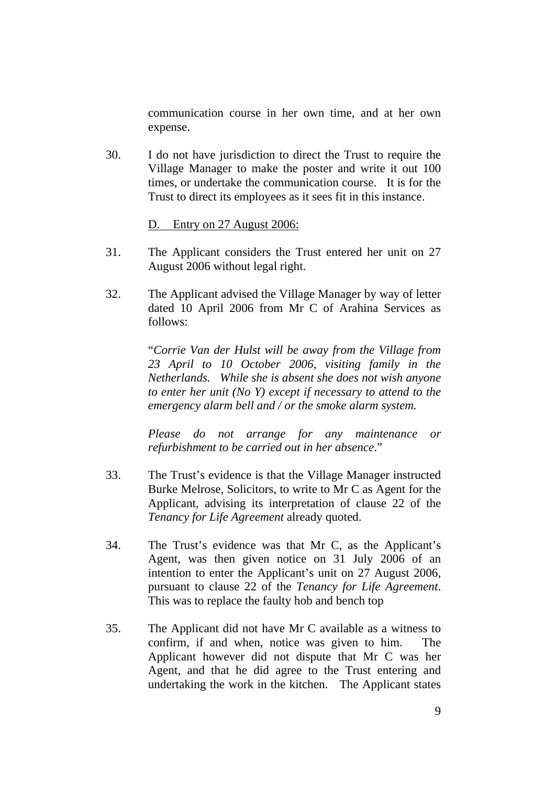communication course in her own time, and at her own expense.

30. I do not have jurisdiction to direct the Trust to require the Village Manager to make the poster and write it out 100 times, or undertake the communication course. It is for the Trust to direct its employees as it sees fit in this instance.

#### D. Entry on 27 August 2006:

- 31. The Applicant considers the Trust entered her unit on 27 August 2006 without legal right.
- 32. The Applicant advised the Village Manager by way of letter dated 10 April 2006 from Mr C of Arahina Services as follows:

"*Corrie Van der Hulst will be away from the Village from 23 April to 10 October 2006, visiting family in the Netherlands. While she is absent she does not wish anyone to enter her unit (No Y) except if necessary to attend to the emergency alarm bell and / or the smoke alarm system.* 

*Please do not arrange for any maintenance or refurbishment to be carried out in her absence*."

- 33. The Trust's evidence is that the Village Manager instructed Burke Melrose, Solicitors, to write to Mr C as Agent for the Applicant, advising its interpretation of clause 22 of the *Tenancy for Life Agreement* already quoted.
- 34. The Trust's evidence was that Mr C, as the Applicant's Agent, was then given notice on 31 July 2006 of an intention to enter the Applicant's unit on 27 August 2006, pursuant to clause 22 of the *Tenancy for Life Agreement*. This was to replace the faulty hob and bench top
- 35. The Applicant did not have Mr C available as a witness to confirm, if and when, notice was given to him. The Applicant however did not dispute that Mr C was her Agent, and that he did agree to the Trust entering and undertaking the work in the kitchen. The Applicant states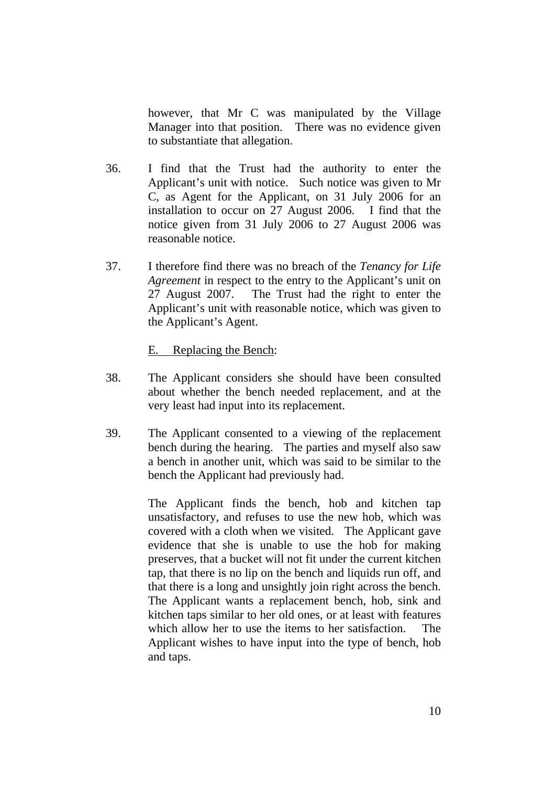however, that Mr C was manipulated by the Village Manager into that position. There was no evidence given to substantiate that allegation.

- 36. I find that the Trust had the authority to enter the Applicant's unit with notice. Such notice was given to Mr C, as Agent for the Applicant, on 31 July 2006 for an installation to occur on 27 August 2006. I find that the notice given from 31 July 2006 to 27 August 2006 was reasonable notice.
- 37. I therefore find there was no breach of the *Tenancy for Life Agreement* in respect to the entry to the Applicant's unit on 27 August 2007. The Trust had the right to enter the Applicant's unit with reasonable notice, which was given to the Applicant's Agent.

E. Replacing the Bench:

- 38. The Applicant considers she should have been consulted about whether the bench needed replacement, and at the very least had input into its replacement.
- 39. The Applicant consented to a viewing of the replacement bench during the hearing. The parties and myself also saw a bench in another unit, which was said to be similar to the bench the Applicant had previously had.

The Applicant finds the bench, hob and kitchen tap unsatisfactory, and refuses to use the new hob, which was covered with a cloth when we visited. The Applicant gave evidence that she is unable to use the hob for making preserves, that a bucket will not fit under the current kitchen tap, that there is no lip on the bench and liquids run off, and that there is a long and unsightly join right across the bench. The Applicant wants a replacement bench, hob, sink and kitchen taps similar to her old ones, or at least with features which allow her to use the items to her satisfaction. The Applicant wishes to have input into the type of bench, hob and taps.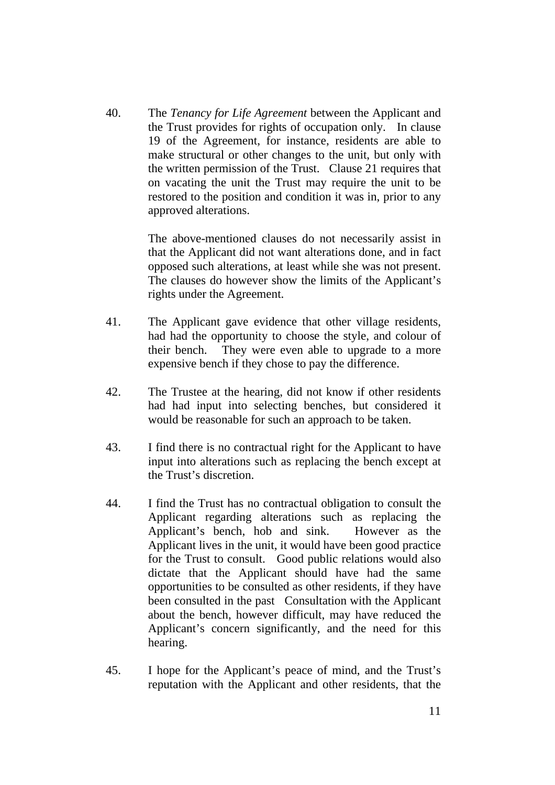40. The *Tenancy for Life Agreement* between the Applicant and the Trust provides for rights of occupation only. In clause 19 of the Agreement, for instance, residents are able to make structural or other changes to the unit, but only with the written permission of the Trust. Clause 21 requires that on vacating the unit the Trust may require the unit to be restored to the position and condition it was in, prior to any approved alterations.

> The above-mentioned clauses do not necessarily assist in that the Applicant did not want alterations done, and in fact opposed such alterations, at least while she was not present. The clauses do however show the limits of the Applicant's rights under the Agreement.

- 41. The Applicant gave evidence that other village residents, had had the opportunity to choose the style, and colour of their bench. They were even able to upgrade to a more expensive bench if they chose to pay the difference.
- 42. The Trustee at the hearing, did not know if other residents had had input into selecting benches, but considered it would be reasonable for such an approach to be taken.
- 43. I find there is no contractual right for the Applicant to have input into alterations such as replacing the bench except at the Trust's discretion.
- 44. I find the Trust has no contractual obligation to consult the Applicant regarding alterations such as replacing the Applicant's bench, hob and sink. However as the Applicant lives in the unit, it would have been good practice for the Trust to consult. Good public relations would also dictate that the Applicant should have had the same opportunities to be consulted as other residents, if they have been consulted in the past Consultation with the Applicant about the bench, however difficult, may have reduced the Applicant's concern significantly, and the need for this hearing.
- 45. I hope for the Applicant's peace of mind, and the Trust's reputation with the Applicant and other residents, that the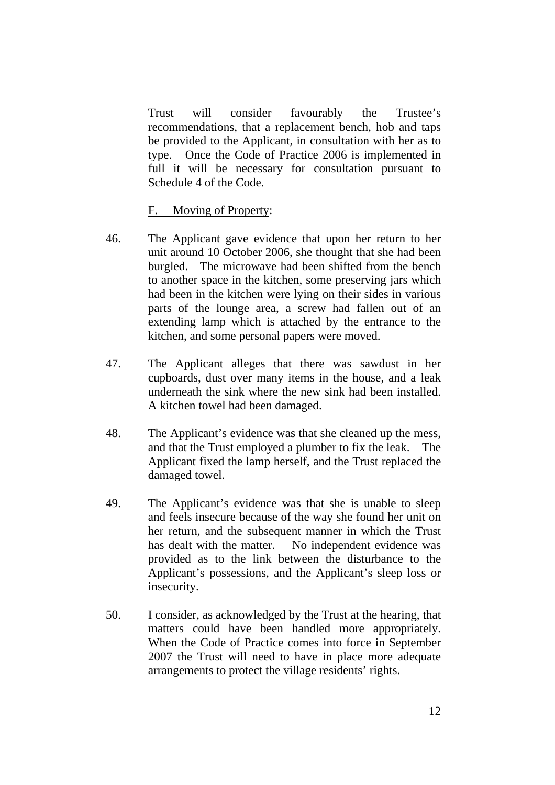Trust will consider favourably the Trustee's recommendations, that a replacement bench, hob and taps be provided to the Applicant, in consultation with her as to type. Once the Code of Practice 2006 is implemented in full it will be necessary for consultation pursuant to Schedule 4 of the Code.

F. Moving of Property:

- 46. The Applicant gave evidence that upon her return to her unit around 10 October 2006, she thought that she had been burgled. The microwave had been shifted from the bench to another space in the kitchen, some preserving jars which had been in the kitchen were lying on their sides in various parts of the lounge area, a screw had fallen out of an extending lamp which is attached by the entrance to the kitchen, and some personal papers were moved.
- 47. The Applicant alleges that there was sawdust in her cupboards, dust over many items in the house, and a leak underneath the sink where the new sink had been installed. A kitchen towel had been damaged.
- 48. The Applicant's evidence was that she cleaned up the mess, and that the Trust employed a plumber to fix the leak. The Applicant fixed the lamp herself, and the Trust replaced the damaged towel.
- 49. The Applicant's evidence was that she is unable to sleep and feels insecure because of the way she found her unit on her return, and the subsequent manner in which the Trust has dealt with the matter. No independent evidence was provided as to the link between the disturbance to the Applicant's possessions, and the Applicant's sleep loss or insecurity.
- 50. I consider, as acknowledged by the Trust at the hearing, that matters could have been handled more appropriately. When the Code of Practice comes into force in September 2007 the Trust will need to have in place more adequate arrangements to protect the village residents' rights.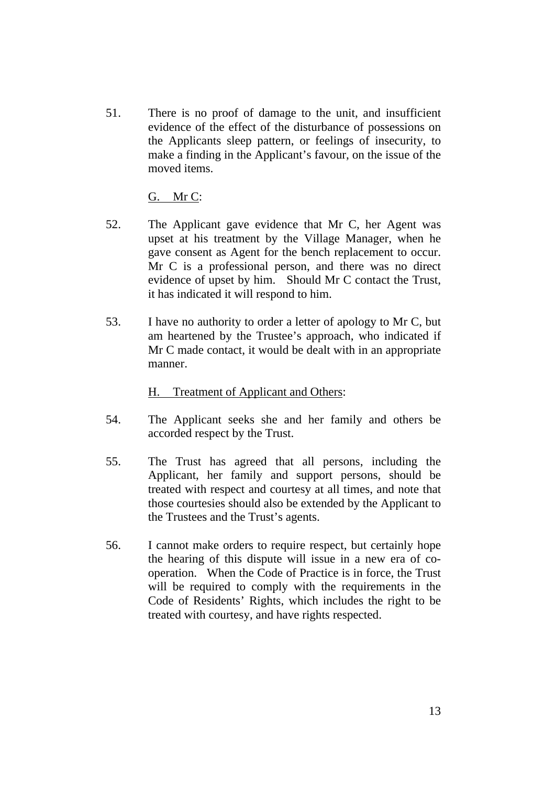51. There is no proof of damage to the unit, and insufficient evidence of the effect of the disturbance of possessions on the Applicants sleep pattern, or feelings of insecurity, to make a finding in the Applicant's favour, on the issue of the moved items.

G. Mr C:

- 52. The Applicant gave evidence that Mr C, her Agent was upset at his treatment by the Village Manager, when he gave consent as Agent for the bench replacement to occur. Mr C is a professional person, and there was no direct evidence of upset by him. Should Mr C contact the Trust, it has indicated it will respond to him.
- 53. I have no authority to order a letter of apology to Mr C, but am heartened by the Trustee's approach, who indicated if Mr C made contact, it would be dealt with in an appropriate manner.

## H. Treatment of Applicant and Others:

- 54. The Applicant seeks she and her family and others be accorded respect by the Trust.
- 55. The Trust has agreed that all persons, including the Applicant, her family and support persons, should be treated with respect and courtesy at all times, and note that those courtesies should also be extended by the Applicant to the Trustees and the Trust's agents.
- 56. I cannot make orders to require respect, but certainly hope the hearing of this dispute will issue in a new era of cooperation. When the Code of Practice is in force, the Trust will be required to comply with the requirements in the Code of Residents' Rights, which includes the right to be treated with courtesy, and have rights respected.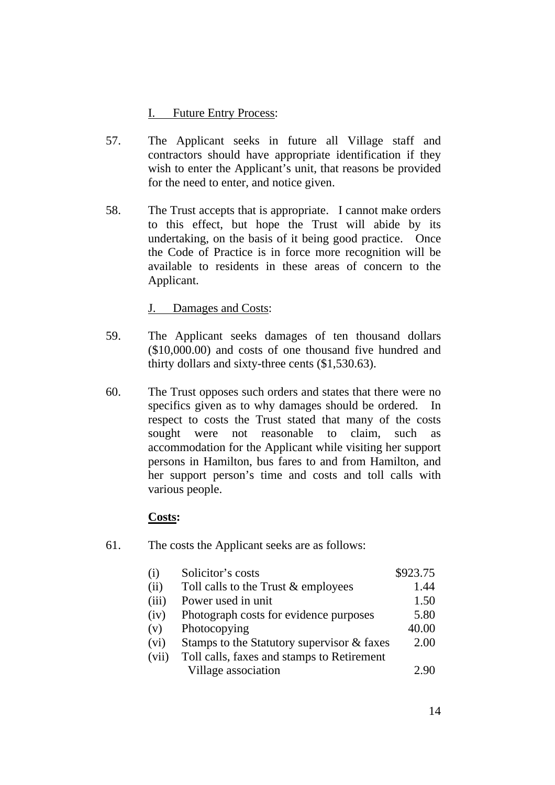## I. Future Entry Process:

- 57. The Applicant seeks in future all Village staff and contractors should have appropriate identification if they wish to enter the Applicant's unit, that reasons be provided for the need to enter, and notice given.
- 58. The Trust accepts that is appropriate. I cannot make orders to this effect, but hope the Trust will abide by its undertaking, on the basis of it being good practice. Once the Code of Practice is in force more recognition will be available to residents in these areas of concern to the Applicant.

J. Damages and Costs:

- 59. The Applicant seeks damages of ten thousand dollars (\$10,000.00) and costs of one thousand five hundred and thirty dollars and sixty-three cents (\$1,530.63).
- 60. The Trust opposes such orders and states that there were no specifics given as to why damages should be ordered. In respect to costs the Trust stated that many of the costs sought were not reasonable to claim, such as accommodation for the Applicant while visiting her support persons in Hamilton, bus fares to and from Hamilton, and her support person's time and costs and toll calls with various people.

#### **Costs:**

61. The costs the Applicant seeks are as follows:

| (i)   | Solicitor's costs                          | \$923.75 |
|-------|--------------------------------------------|----------|
| (ii)  | Toll calls to the Trust & employees        | 1.44     |
| (iii) | Power used in unit                         | 1.50     |
| (iv)  | Photograph costs for evidence purposes     | 5.80     |
| (v)   | Photocopying                               | 40.00    |
| (vi)  | Stamps to the Statutory supervisor & faxes | 2.00     |
| (vii) | Toll calls, faxes and stamps to Retirement |          |
|       | Village association                        | 2.90     |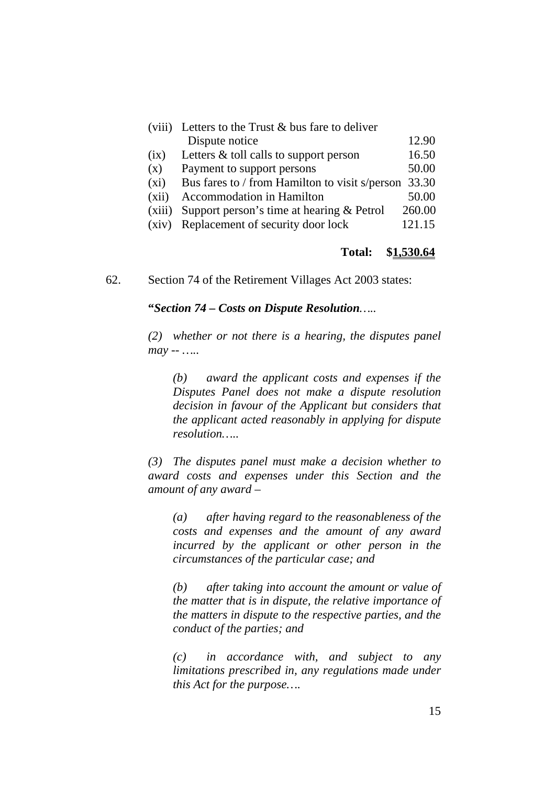|         | (viii) Letters to the Trust $&$ bus fare to deliver  |        |
|---------|------------------------------------------------------|--------|
|         | Dispute notice                                       | 12.90  |
| (ix)    | Letters $\&$ toll calls to support person            | 16.50  |
| (x)     | Payment to support persons                           | 50.00  |
| $(x_i)$ | Bus fares to / from Hamilton to visit s/person 33.30 |        |
| (xii)   | Accommodation in Hamilton                            | 50.00  |
| (xiii)  | Support person's time at hearing $&$ Petrol          | 260.00 |
| (xiv)   | Replacement of security door lock                    | 121.15 |

#### **Total: \$1,530.64**

62. Section 74 of the Retirement Villages Act 2003 states:

**"***Section 74 – Costs on Dispute Resolution…..* 

*(2) whether or not there is a hearing, the disputes panel may -- …..* 

*(b) award the applicant costs and expenses if the Disputes Panel does not make a dispute resolution decision in favour of the Applicant but considers that the applicant acted reasonably in applying for dispute resolution…..* 

*(3) The disputes panel must make a decision whether to award costs and expenses under this Section and the amount of any award –* 

*(a) after having regard to the reasonableness of the costs and expenses and the amount of any award incurred by the applicant or other person in the circumstances of the particular case; and* 

*(b) after taking into account the amount or value of the matter that is in dispute, the relative importance of the matters in dispute to the respective parties, and the conduct of the parties; and* 

*(c) in accordance with, and subject to any limitations prescribed in, any regulations made under this Act for the purpose….*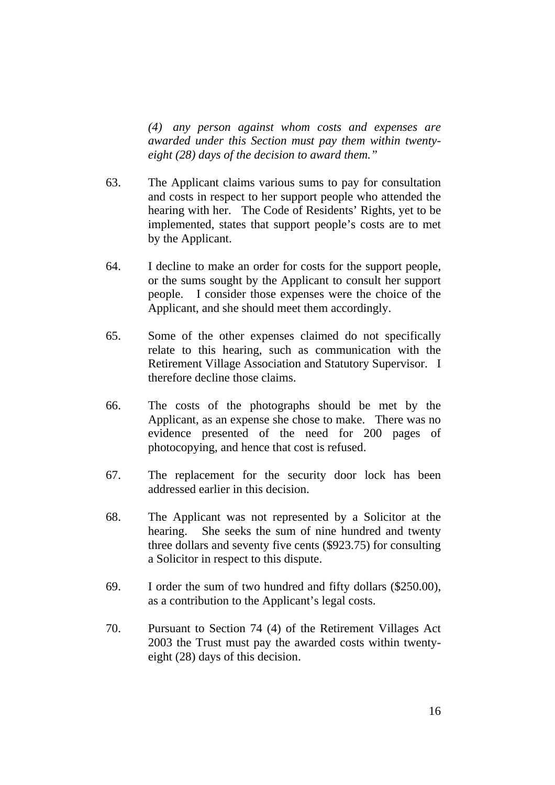*(4) any person against whom costs and expenses are awarded under this Section must pay them within twentyeight (28) days of the decision to award them."* 

- 63. The Applicant claims various sums to pay for consultation and costs in respect to her support people who attended the hearing with her. The Code of Residents' Rights, yet to be implemented, states that support people's costs are to met by the Applicant.
- 64. I decline to make an order for costs for the support people, or the sums sought by the Applicant to consult her support people. I consider those expenses were the choice of the Applicant, and she should meet them accordingly.
- 65. Some of the other expenses claimed do not specifically relate to this hearing, such as communication with the Retirement Village Association and Statutory Supervisor. I therefore decline those claims.
- 66. The costs of the photographs should be met by the Applicant, as an expense she chose to make. There was no evidence presented of the need for 200 pages of photocopying, and hence that cost is refused.
- 67. The replacement for the security door lock has been addressed earlier in this decision.
- 68. The Applicant was not represented by a Solicitor at the hearing. She seeks the sum of nine hundred and twenty three dollars and seventy five cents (\$923.75) for consulting a Solicitor in respect to this dispute.
- 69. I order the sum of two hundred and fifty dollars (\$250.00), as a contribution to the Applicant's legal costs.
- 70. Pursuant to Section 74 (4) of the Retirement Villages Act 2003 the Trust must pay the awarded costs within twentyeight (28) days of this decision.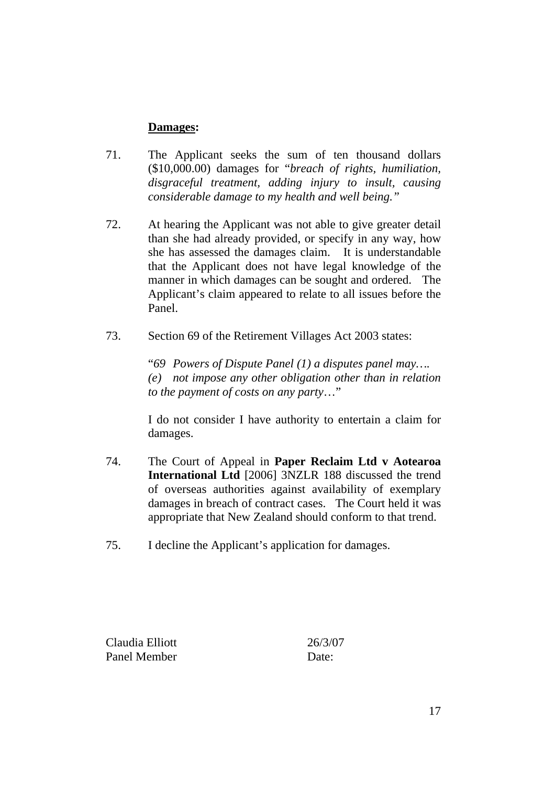### **Damages:**

- 71. The Applicant seeks the sum of ten thousand dollars (\$10,000.00) damages for "*breach of rights, humiliation, disgraceful treatment, adding injury to insult, causing considerable damage to my health and well being."*
- 72. At hearing the Applicant was not able to give greater detail than she had already provided, or specify in any way, how she has assessed the damages claim. It is understandable that the Applicant does not have legal knowledge of the manner in which damages can be sought and ordered. The Applicant's claim appeared to relate to all issues before the Panel.
- 73. Section 69 of the Retirement Villages Act 2003 states:

"*69 Powers of Dispute Panel (1) a disputes panel may…. (e) not impose any other obligation other than in relation to the payment of costs on any party*…"

I do not consider I have authority to entertain a claim for damages.

- 74. The Court of Appeal in **Paper Reclaim Ltd v Aotearoa International Ltd** [2006] 3NZLR 188 discussed the trend of overseas authorities against availability of exemplary damages in breach of contract cases. The Court held it was appropriate that New Zealand should conform to that trend.
- 75. I decline the Applicant's application for damages.

Claudia Elliott 26/3/07 Panel Member Date: